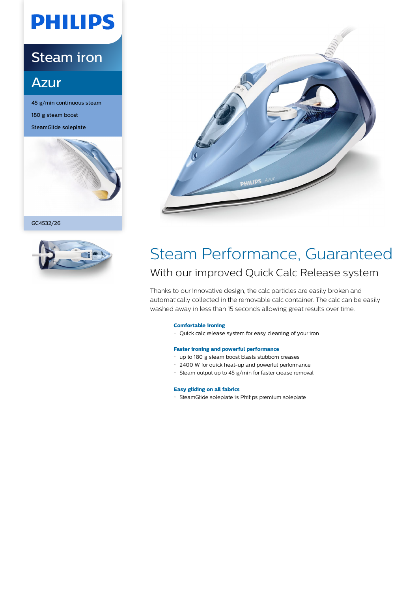# **PHILIPS**

### Steam iron

### **Azur**

45 g/min continuous steam 180 g steam boost SteamGlide soleplate







### Steam Performance, Guaranteed With our improved Quick Calc Release system

Thanks to our innovative design, the calc particles are easily broken and automatically collected in the removable calc container. The calc can be easily washed away in less than 15 seconds allowing great results over time.

### **Comfortable ironing**

Quick calc release system for easy cleaning of your iron

### **Faster ironing and powerful performance**

- up to 180 g steam boost blasts stubborn creases
- 2400 W for quick heat-up and powerful performance
- Steam output up to 45 g/min for faster crease removal

### **Easy gliding on all fabrics**

SteamGlide soleplate is Philips premium soleplate